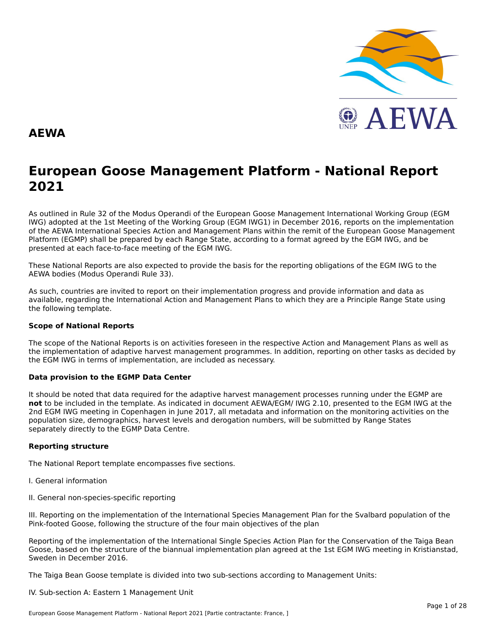

#### **AEWA**

# **European Goose Management Platform - National Report**European Goose Management Platform - National Report<br>2021

As outlined in Rule 32 of the Modus Operandi of the European Goose Management International Working Group (EGM As buthled in Rule 32 of the Modus Operandi of the Lufopean Goose Management International Working Group (LGM<br>IWG) adopted at the 1st Meeting of the Working Group (EGM IWG1) in December 2016, reports on the implementation of the AEWA International Species Action and Management Plans within the remit of the European Goose Management<br>of the AEWA International Species Action and Management Plans within the remit of the European Goose Managemen Platform (EGMP) shall be prepared by each Range State, according to a format agreed by the EGM IWG, and be presented at each face-to-face meeting of the EGM IWG.

These National Reports are also expected to provide the basis for the reporting obligations of the EGM IWG to the AEWA bodies (Modus Operandi Rule 33).

As such, countries are invited to report on their implementation progress and provide information and data asAs such, countries are invited to report on their implementation progress and provide imomiation and data as<br>available, regarding the International Action and Management Plans to which they are a Principle Range State usin the following template.

#### **Scope of National Reports**

The scope of the National Reports is on activities foreseen in the respective Action and Management Plans as well as<br>the invalence total of adoptive harvest management are respective and dition are atting on other today as the implementation of adaptive harvest management programmes. In addition, reporting on other tasks as decided by the EGM IWG in terms of implementation, are included as necessary.

#### **Data provision to the EGMP Data Center**

It should be noted that data required for the adaptive harvest management processes running under the EGMP are not to be included in the template. As indicated in document AEWA/EGM/ IWG 2.10, presented to the EGM IWG at the 2nd EGM IWG meeting in Copenhagen in June 2017, all metadata and information on the monitoring activities on the population size, demographics, harvest levels and derogation numbers, will be submitted by Range States separately directly to the EGMP Data Centre.

#### **Reporting structure**

The National Report template encompasses five sections.

- I. General information
- II. General non-species-specific reporting

III. Reporting on the implementation of the International Species Management Plan for the Svalbard population of the Pink-footed Goose, following the structure of the four main objectives of the plan

Reporting of the implementation of the International Single Species Action Plan for the Conservation of the Taiga Bean Goose, based on the structure of the biannual implementation plan agreed at the 1st EGM IWG meeting in Kristianstad, Sweden in December 2016.

The Taiga Bean Goose template is divided into two sub-sections according to Management Units:

IV. Sub-section A: Eastern 1 Management Unit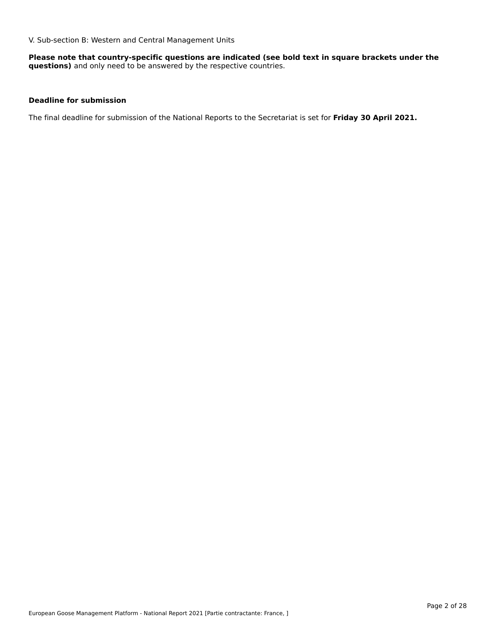V. Sub-section B: Western and Central Management Units

**Please note that country-specific questions are indicated (see bold text in square brackets under the questions)** and only need to be answered by the respective countries.

#### **Deadline for submission**

The final deadline for submission of the National Reports to the Secretariat is set for **Friday 30 April 2021.**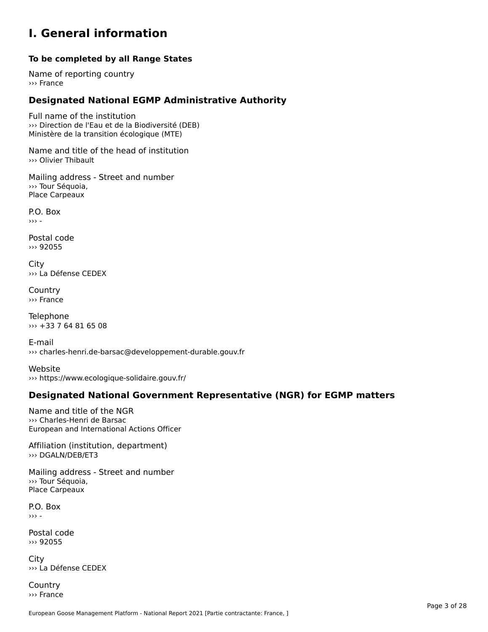### **I. General information**

### **To be completed by all Range States**

Name of reporting country››› France

# **Designated National EGMP Administrative Authority**

Full name of the institution ››› Direction de l'Eau et de la Biodiversité (DEB) Ministère de la transition écologique (MTE)

Name and title of the head of institution››› Olivier Thibault

Mailing address - Street and number ››› Tour Séquoia, **Place Carpeaux** 

P.O. Box ››› -

Postal code››› 92055

City ››› La Défense CEDEX

**Country** ››› France

Telephone ››› +33 7 64 81 65 08

E-mail››› charles-henri.de-barsac@developpement-durable.gouv.fr

Website››› https://www.ecologique-solidaire.gouv.fr/

### **Designated National Government Representative (NGR) for EGMP matters**

Name and title of the NGR ››› Charles-Henri de Barsac *I* Charles-Henn de Barsac<br>European and International Actions Officer

Affiliation (institution, department) ››› DGALN/DEB/ET3

Mailing address - Street and number wamny addres.<br>>>> Tour Séquoia, Place Carpeaux

P.O. Box ››› -

Postal code››› 92055

City ››› La Défense CEDEX

**Country** ››› France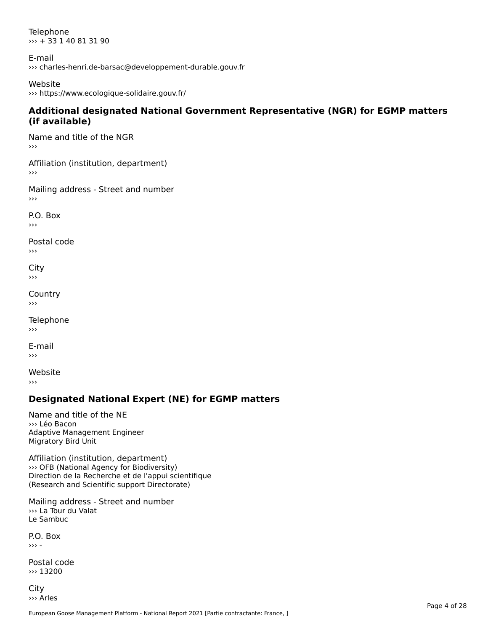**Telephone** ››› + 33 1 40 81 31 90

E-mail ››› charles-henri.de-barsac@developpement-durable.gouv.fr

#### Website

››› https://www.ecologique-solidaire.gouv.fr/

#### **Additional designated National Government Representative (NGR) for EGMP matters (if available)**

Name and title of the NGR

Affiliation (institution, department)

Mailing address - Street and number ›››

P.O. Box›››

Postal code ›››

Cityااب<br><<

**Country**  $\rightarrow$   $>$ 

Telephone

E-mailㄴ-ı<br>›››

Website›››

# **Designated National Expert (NE) for EGMP matters**

Name and title of the NE››› Léo BaconAdaptive Management Engineer Adaptive Managem<br>Migratory Bird Unit

Affiliation (institution, department) ››› OFB (National Agency for Biodiversity) OF Direction de la Recherche et de l'appui scientifique (Research and Scientific support Directorate)

Mailing address - Street and number ››› La Tour du Valat Le Sambuc

P.O. Box ››› -

Postal code ››› 13200

City ››› Arles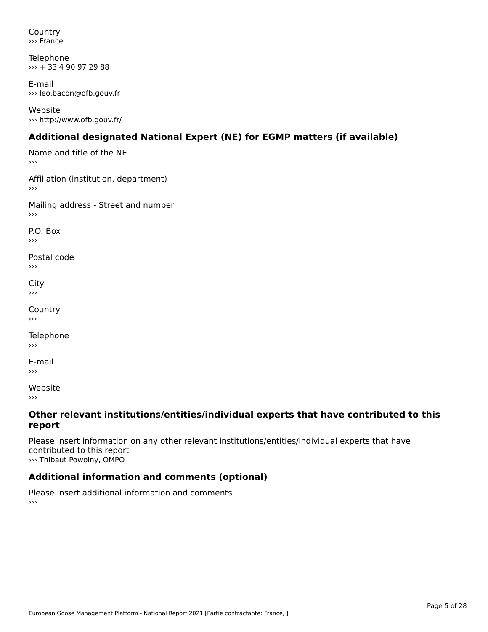Country››› France

Telephone ››› + 33 4 90 97 29 88

E-mail ››› leo.bacon@ofb.gouv.fr

Website››› http://www.ofb.gouv.fr/

# **Additional designated National Expert (NE) for EGMP matters (if available)**

Name and title of the NE›››Affiliation (institution, department) Mailing address - Street and number P.O. Box›››Postal codeں <sub>ا</sub><br>‹‹‹ City ااب<br><< **Country** ›››Telephone E-mail Website›››

#### **Other relevant institutions/entities/individual experts that have contributed to this report**report

Please insert information on any other relevant institutions/entities/individual experts that have riease insert imormation<br>contributed to this report ››› Thibaut Powolny, OMPO

# **Additional information and comments (optional)**

Please insert additional information and comments ›››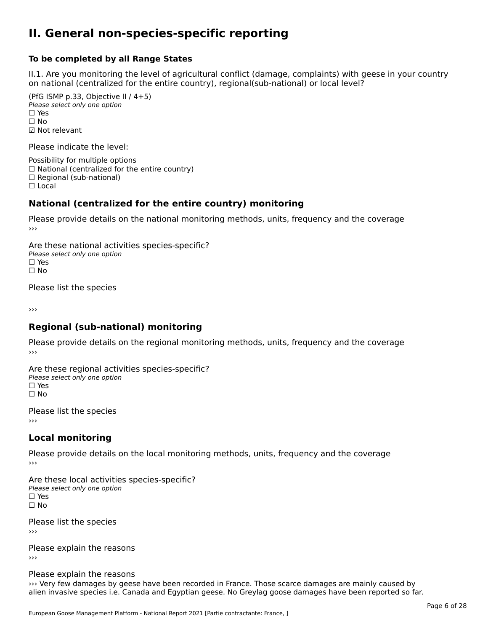### **II. General non-species-specific reporting**

#### **To be completed by all Range States**

II.1. Are you monitoring the level of agricultural conflict (damage, complaints) with geese in your country n.i. Are you monitoring the lever or agricultural connict (damage, complaints) with g<br>on national (centralized for the entire country), regional(sub-national) or local level?

(PfG ISMP p.33, Objective II  $(4+5)$ ) ∪ ISMIT p.55, Objective<br>Please select only one option □ Yes<br>□ No ☑ Not relevant

Please indicate the level:

Possibility for multiple options  $\Box$  National (centralized for the entire country)  $\Box$  Regional (sub-national)

☐ Local

#### **National (centralized for the entire country) monitoring**

Please provide details on the national monitoring methods, units, frequency and the coverage

Are these national activities species-specific? ∩ne enese national activity<br>Please select only one option ים וכ<br>⊡ No

Please list the species

›››

#### **Regional (sub-national) monitoring**

Please provide details on the regional monitoring methods, units, frequency and the coverage

Are these regional activities species-specific? ∩ne these regional activ<br>Please select only one option □ Yes<br>□ No

Please list the species ›››

#### **Local monitoring**

Please provide details on the local monitoring methods, units, frequency and the coverage

Are these local activities species-specific? Please select only one optionriease<br>□ Yes □ Yes<br>□ No

Please list the species ›››

Please explain the reasons

Please explain the reasons

››› Very few damages by geese have been recorded in France. Those scarce damages are mainly caused by walig rew damages by geese have been recorded in France. Those scarce damages are manny caused by<br>alien invasive species i.e. Canada and Egyptian geese. No Greylag goose damages have been reported so far.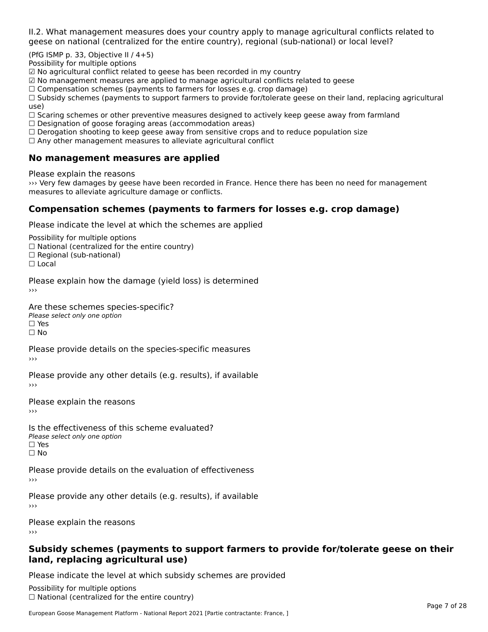II.2. What management measures does your country apply to manage agricultural conflicts related to

(PfG ISMP p. 33, Objective II  $/$  4+5)

Possibility for multiple options

☑ No agricultural conflict related to geese has been recorded in my country

☑ No management measures are applied to manage agricultural conflicts related to geese

⊠ No management measures are applied to manage agricultural connicts rela<br>□ Compensation schemes (payments to farmers for losses e.g. crop damage)

□ Compensation schemes (payments to farmers for losses e.g. crop damage)<br>□ Subsidy schemes (payments to support farmers to provide for/tolerate geese on their land, replacing agricultural use)

use,<br>□ Scaring schemes or other preventive measures designed to actively keep geese away from farmland

 $\Box$  Designation of goose foraging areas (accommodation areas)

□ Designation of goose foraging areas (accommodation areas)<br>□ Derogation shooting to keep geese away from sensitive crops and to reduce population size

 $\Box$  Any other management measures to alleviate agricultural conflict

### **No management measures are applied**

Please explain the reasons

››› Very few damages by geese have been recorded in France. Hence there has been no need for management we very rew damages by geese nave been recorded in<br>measures to alleviate agriculture damage or conflicts.

### **Compensation schemes (payments to farmers for losses e.g. crop damage)**

Please indicate the level at which the schemes are applied

Possibility for multiple options rossibility for multiple options<br>□ National (centralized for the entire country) □ National (centralized io<br>□ Regional (sub-national) ☐ Local

Please explain how the damage (yield loss) is determined

Are these schemes species-specific?∩ne these senemes spe<br>Please select only one option ים וכ∍<br>⊡ No

Please provide details on the species-specific measures ›››

Please provide any other details (e.g. results), if available

Please explain the reasons›››

Is the effectiveness of this scheme evaluated?□ CITC CITCCLIVERESS OF C<br>Please select only one option □ Yes<br>□ No

Please provide details on the evaluation of effectiveness

Please provide any other details (e.g. results), if available

Please explain the reasons

#### **Subsidy schemes (payments to support farmers to provide for/tolerate geese on their land, replacing agricultural use)**land, replacing agricultural use)

Please indicate the level at which subsidy schemes are provided

Possibility for multiple options ™assibility for multiple options<br>□ National (centralized for the entire country)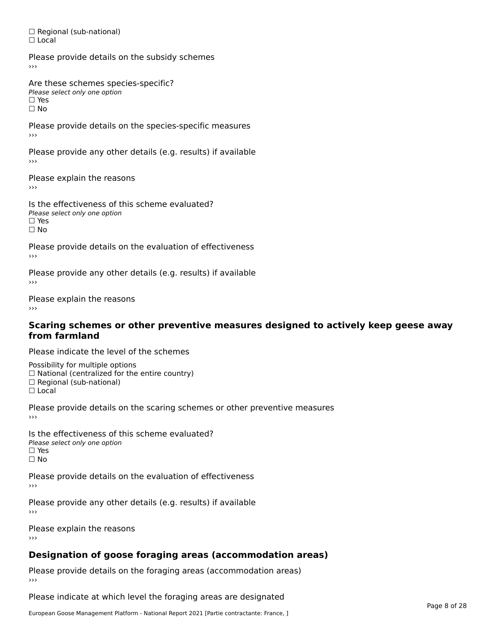□ Regional (sub-national) ☐ Local

Please provide details on the subsidy schemes

Are these schemes species-specific?Please select only one optionPlease select only one option<br>□ Yes □ Yes<br>□ No

Please provide details on the species-specific measures

Please provide any other details (e.g. results) if available

Please explain the reasons

›››

Is the effectiveness of this scheme evaluated?□ CIC CILCCLIVENC55 OF C<br>Please select only one option □ Yes<br>□ No

Please provide details on the evaluation of effectiveness›››

Please provide any other details (e.g. results) if available

Please explain the reasons

#### **Scaring schemes or other preventive measures designed to actively keep geese awayfrom farmland**

Please indicate the level of the schemes

Possibility for multiple options rossibility for multiple options<br>□ National (centralized for the entire country)

□ National (centralized io<br>□ Regional (sub-national)

☐ Local

Please provide details on the scaring schemes or other preventive measures

Is the effectiveness of this scheme evaluated?□ CITC CITCCLIVERESS OF C<br>Please select only one option □ Yes<br>□ No

Please provide details on the evaluation of effectiveness

Please provide any other details (e.g. results) if available

Please explain the reasons

# **Designation of goose foraging areas (accommodation areas)**

Please provide details on the foraging areas (accommodation areas)

Please indicate at which level the foraging areas are designated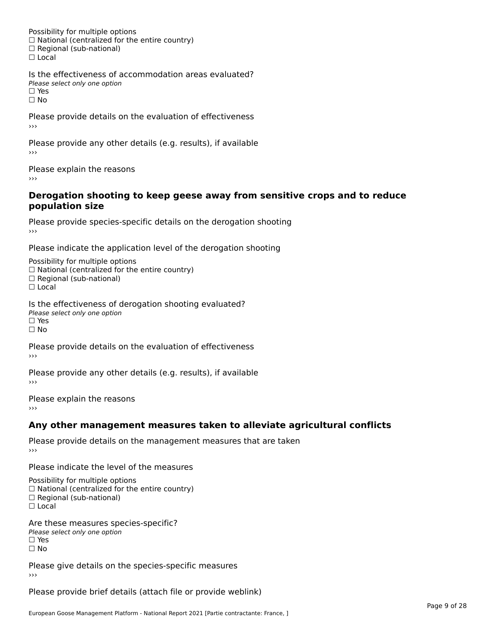Possibility for multiple options rossibility for multiple options<br>□ National (centralized for the entire country) □ National (centralized io<br>□ Regional (sub-national) ☐ Local

Is the effectiveness of accommodation areas evaluated?□ CILCCCCVCIC55 OF Q<br>Please select only one option □ Yes<br>□ No

Please provide details on the evaluation of effectiveness

Please provide any other details (e.g. results), if available

Please explain the reasons ›››

#### **Derogation shooting to keep geese away from sensitive crops and to reduce population size**population size

Please provide species-specific details on the derogation shooting ›››

Please indicate the application level of the derogation shooting

Possibility for multiple options rossibility for multiple options<br>□ National (centralized for the entire country)

□ National (centralized io<br>□ Regional (sub-national)

☐ Local

Is the effectiveness of derogation shooting evaluated?

Please select only one option

rıease<br>□ Yes

☐ No

Please provide details on the evaluation of effectiveness

Please provide any other details (e.g. results), if available

Please explain the reasons

### **Any other management measures taken to alleviate agricultural conflicts**

Please provide details on the management measures that are taken

Please indicate the level of the measures

Possibility for multiple options rossibility for multiple options<br>□ National (centralized for the entire country) □ National (centralized io<br>□ Regional (sub-national) ☐ Local

Are these measures species-specific? ric criese measures spe<br>Please select only one option *riease*<br>□ Yes ☐ No

Please give details on the species-specific measures

Please provide brief details (attach file or provide weblink)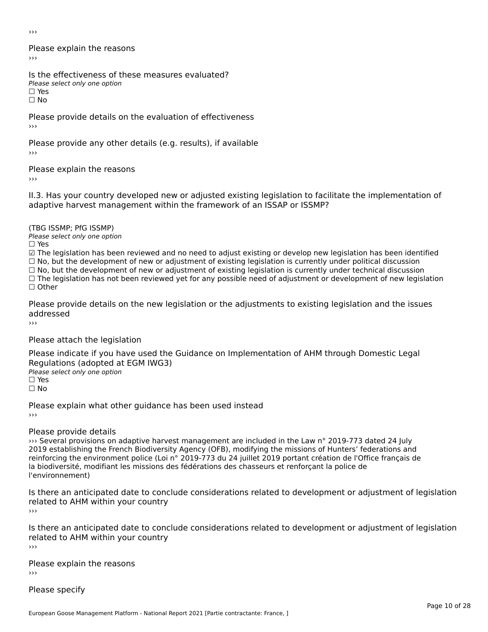›››

Please explain the reasons›››

Is the effectiveness of these measures evaluated? Please select only one option ☐ Yes

☐ No

Please provide details on the evaluation of effectiveness ›››

Please provide any other details (e.g. results), if available

Please explain the reasons

II.3. Has your country developed new or adjusted existing legislation to facilitate the implementation of

(TBG ISSMP; PfG ISSMP)

Please select only one option ☐ Yes

☑ The legislation has been reviewed and no need to adjust existing or develop new legislation has been identified ⊠ The regislation has been reviewed and no need to adjust existing or develop new regislation has been identi<br>□ No, but the development of new or adjustment of existing legislation is currently under political discussion

□ No, but the development of new or adjustment of existing legislation is currently under political discussion<br>□ No, but the development of new or adjustment of existing legislation is currently under technical discussion

☐ The legislation has not been reviewed yet for any possible need of adjustment or development of new legislation

☐ Other

Please provide details on the new legislation or the adjustments to existing legislation and the issues addressed

Please attach the legislation

Please indicate if you have used the Guidance on Implementation of AHM through Domestic Legal Regulations (adopted at EGM IWG3)Please select only one option ☐ Yes

☐ No

Please explain what other guidance has been used instead

#### Please provide details

››› Several provisions on adaptive harvest management are included in the Law n° 2019-773 dated 24 July 2019 establishing the French Biodiversity Agency (OFB), modifying the missions of Hunters' federations and reinforcing the environment police (Loi n° 2019-773 du 24 juillet 2019 portant création de l'Office français de la biodiversité, modifiant les missions des fédérations des chasseurs et renforçant la police de l'environnement)

Is there an anticipated date to conclude considerations related to development or adjustment of legislation related to AHM within your country›››

Is there an anticipated date to conclude considerations related to development or adjustment of legislation is there an anticipated date to control<br>related to AHM within your country

Please explain the reasons›››

Please specify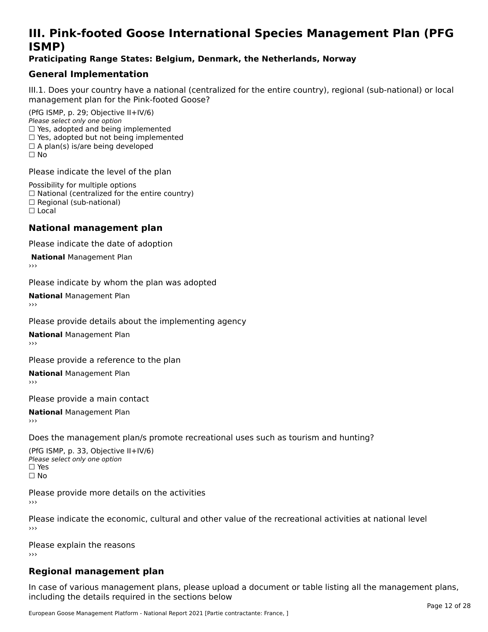# **III. Pink-footed Goose International Species Management Plan (PFG**III. FII<br>ICMAD)

### **Praticipating Range States: Belgium, Denmark, the Netherlands, Norway**

## **General Implementation**

III.1. Does your country have a national (centralized for the entire country), regional (sub-national) or local

(PfG ISMP, p. 29; Objective II+IV/6) Please select only one option *Please select only one option*<br>□ Yes, adopted and being implemented  $\Box$  res, adopted and being implemented<br> $\Box$  Yes, adopted but not being implemented  $\Box$  A plan(s) is/are being developed ☐ No

Please indicate the level of the plan

Possibility for multiple options rossibility for multiple options<br>□ National (centralized for the entire country) □ National (centralized io<br>□ Regional (sub-national) ☐ Local

#### **National management plan**

Please indicate the date of adoption

**National Management Plan** 

Please indicate by whom the plan was adopted

**National** Management Plan

Please provide details about the implementing agency

**National** Management Plan

Please provide a reference to the plan

**National** Management Plan

Please provide a main contact

**National** Management Plan

Does the management plan/s promote recreational uses such as tourism and hunting?

(PfG ISMP, p. 33, Objective II+IV/6) Please select only one optionPlease select only one option  $\square$  Yes ☐ No

Please provide more details on the activities

Please indicate the economic, cultural and other value of the recreational activities at national level

Please explain the reasons ›››

# **Regional management plan**

In case of various management plans, please upload a document or table listing all the management plans, $\frac{1}{2}$  case of various management plans, please uploa including the details required in the sections below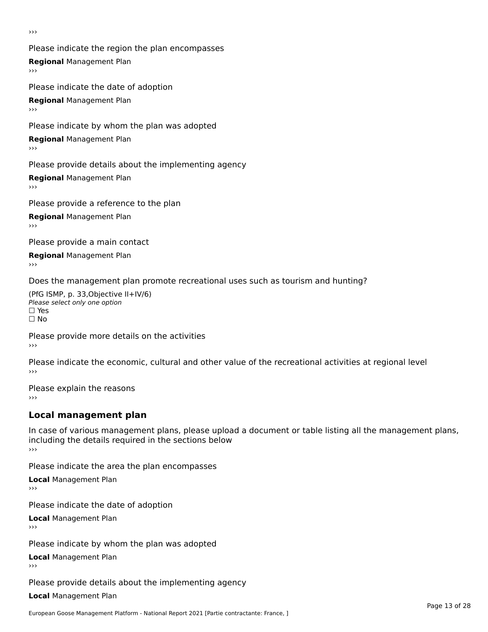›››

Please indicate the region the plan encompasses **Regional** Management Plan Please indicate the date of adoption

**Regional** Management Plan

Please indicate by whom the plan was adopted

**Regional** Management Plan

Please provide details about the implementing agency

**Regional** Management Plan

Please provide a reference to the plan

**Regional** Management Plan

Please provide a main contact

**Regional** Management Plan

Does the management plan promote recreational uses such as tourism and hunting?

(PfG ISMP, p. 33,Objective II+IV/6) ∩∩ וויוכו פון<br>Please select only one option<br>□ Yes □ Yes<br>□ No

Please provide more details on the activities ›››

Please indicate the economic, cultural and other value of the recreational activities at regional level

Please explain the reasons ›››

# **Local management plan**

In case of various management plans, please upload a document or table listing all the management plans, in case or various management plans, please uploa<br>including the details required in the sections below ›››

Please indicate the area the plan encompasses

**Local** Management Plan

Please indicate the date of adoption

**Local** Management Plan›››

Please indicate by whom the plan was adopted

**Local** Management Plan

Please provide details about the implementing agency

**Local** Management Plan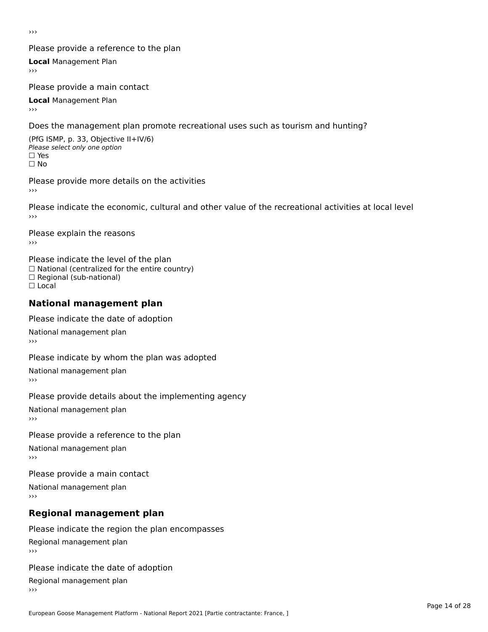›››

### Please provide a reference to the plan

**Local** Management Plan

Please provide a main contact

**Local** Management Plan

Does the management plan promote recreational uses such as tourism and hunting?

(PfG ISMP, p. 33, Objective II+IV/6) Please select only one option☐ Yes☐ No

Please provide more details on the activities

Please indicate the economic, cultural and other value of the recreational activities at local level

Please explain the reasons ›››

Please indicate the level of the plan ∩ease marcate the lever of the plan<br>□ National (centralized for the entire country) □ National (centralized io<br>□ Regional (sub-national) ☐ Local

#### **National management plan**

Please indicate the date of adoption

National management plan

Please indicate by whom the plan was adopted

National management plan

Please provide details about the implementing agency

National management plan

Please provide a reference to the plan

National management plan

Please provide a main contact

National management plan

# **Regional management plan**

Please indicate the region the plan encompasses Regional management plan

Please indicate the date of adoption

Regional management plan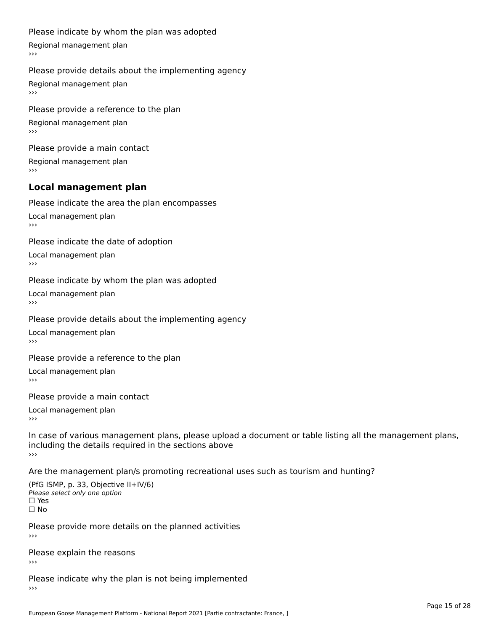#### Please indicate by whom the plan was adopted

Regional management plan

#### Please provide details about the implementing agency

Regional management plan

Please provide a reference to the plan Regional management plan

Please provide a main contact Regional management plan

#### **Local management plan**

Please indicate the area the plan encompasses

Local management plan $\overline{\phantom{a}}$  $\rightarrow$   $>$ 

Please indicate the date of adoption

Local management plan $\overline{v}$ 

Please indicate by whom the plan was adopted Local management plan›››

Please provide details about the implementing agency

Local management plan $\overline{v}$ 

Please provide a reference to the plan

Local management plan›››

Please provide a main contact

Local management plan $\overline{v}$ 

In case of various management plans, please upload a document or table listing all the management plans,in case or various management plans, please upload including the details required in the sections above<br>>>>

Are the management plan/s promoting recreational uses such as tourism and hunting?

(PfG ISMP, p. 33, Objective II+IV/6) Please select only one option☐ Yes☐ No

Please provide more details on the planned activities

Please explain the reasons›››

Please indicate why the plan is not being implemented›››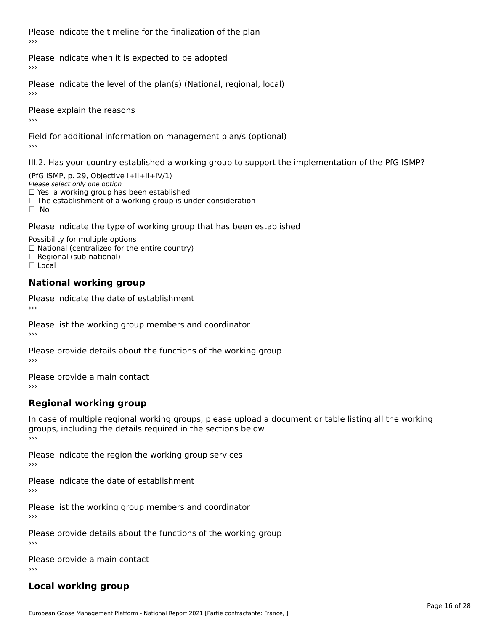Please indicate the timeline for the finalization of the plan›››

Please indicate when it is expected to be adopted

Please indicate the level of the plan(s) (National, regional, local)

Please explain the reasons›››

Field for additional information on management plan/s (optional)

III.2. Has your country established a working group to support the implementation of the PfG ISMP?

(PfG ISMP, p. 29, Objective  $I+II+II+IV/1$ ) Please select only one option □ Yes, a working group has been established □ Tes, a working group has been established<br>□ The establishment of a working group is under consideration

Please indicate the type of working group that has been established

Possibility for multiple options  $\Box$  National (centralized for the entire country)  $\Box$  Regional (sub-national)  $\Box$  Local

#### **National working group**

Please indicate the date of establishment›››

Please list the working group members and coordinator ›››

Please provide details about the functions of the working group ›››

Please provide a main contact ›››

# **Regional working group**

In case of multiple regional working groups, please upload a document or table listing all the working In case of multiple regional working groups, please upload a<br>groups, including the details required in the sections below ›››

Please indicate the region the working group services ›››

Please indicate the date of establishment ›››

Please list the working group members and coordinator ›››

Please provide details about the functions of the working group ›››

Please provide a main contact ›››

# **Local working group**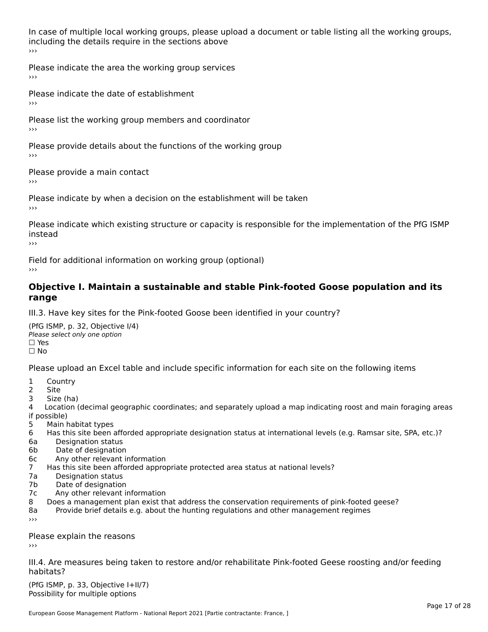In case of multiple local working groups, please upload a document or table listing all the working groups, including the details require in the sections above<br>>>>

Please indicate the area the working group services ›››

Please indicate the date of establishment ›››

Please list the working group members and coordinator ›››

Please provide details about the functions of the working group ›››

Please provide a main contact ›››

Please indicate by when a decision on the establishment will be taken

Please indicate which existing structure or capacity is responsible for the implementation of the PfG ISMP instead

Field for additional information on working group (optional)

#### **Objective I. Maintain a sustainable and stable Pink-footed Goose population and its range**range

III.3. Have key sites for the Pink-footed Goose been identified in your country?

(PfG ISMP, p. 32, Objective I/4)Please select only one option ☐ Yes□ Yes<br>□ No

Please upload an Excel table and include specific information for each site on the following items

- $1 \quad \alpha$
- 2 Site
- 2 Site<br>3 Size (ha)

د حدد una<br>4 Location (decimal geographic coordinates; and separately upload a map indicating roost and main foraging areas 4 Location<br>if possible)

- 5 Main habitat types
- 6 Has this site been afforded appropriate designation status at international levels (e.g. Ramsar site, SPA, etc.)? 6. Bestweetter status
- 6a Designation status<br>6b Date of designation
- 
- 6c Any other relevant information
- 7 Has this site been afforded appropriate protected area status at national levels? 7a Designation status
- 7a Designation status<br>7b Date of designation
- 
- 7c Any other relevant information
- 8 Does a management plan exist that address the conservation requirements of pink-footed geese?
- 8a Provide brief details e.g. about the hunting regulations and other management regimes ›››

Please explain the reasons

III.4. Are measures being taken to restore and/or rehabilitate Pink-footed Geese roosting and/or feeding habitats?

 $(PCI GMP, p. 33, Qb)$  is the I+II/7) Possibility for multiple optionsPossibility for multiple options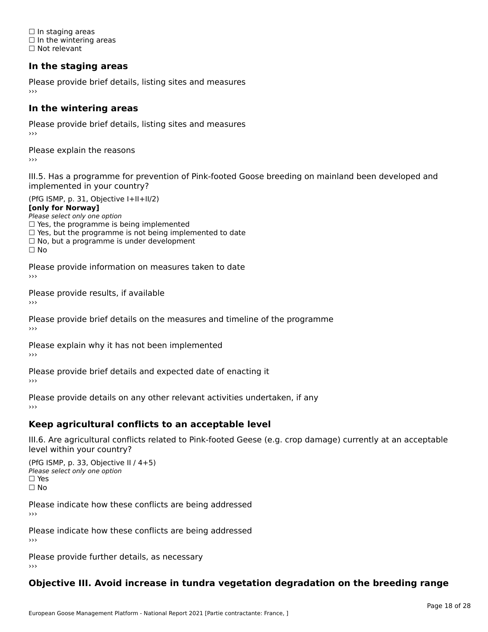☐ In staging areas □ in staging areas<br>□ In the wintering areas ☐ Not relevant

# **In the staging areas**

Please provide brief details, listing sites and measures ›››

#### **In the wintering areas**

Please provide brief details, listing sites and measures ›››

Please explain the reasons

III.5. Has a programme for prevention of Pink-footed Goose breeding on mainland been developed and

(PfG ISMP, p. 31, Objective I+II+II/2)

**[only for Norway]**

Please select only one option riease select only one option<br>□ Yes, the programme is being implemented

 $\Box$  ies, the programme is being implemented to date  $\Box$  Yes, but the programme is not being implemented to date

 $\Box$  No, but a programme is under development

Please provide information on measures taken to date

Please provide results, if available

Please provide brief details on the measures and timeline of the programme›››

Please explain why it has not been implemented

Please provide brief details and expected date of enacting it

Please provide details on any other relevant activities undertaken, if any›››

### **Keep agricultural conflicts to an acceptable level**

III.6. Are agricultural conflicts related to Pink-footed Geese (e.g. crop damage) currently at an acceptable

(PfG ISMP, p. 33, Objective II / 4+5)Please select only one option ☐ Yes☐ No

Please indicate how these conflicts are being addressed

Please indicate how these conflicts are being addressed›››

Please provide further details, as necessary ›››

#### **Objective III. Avoid increase in tundra vegetation degradation on the breeding range**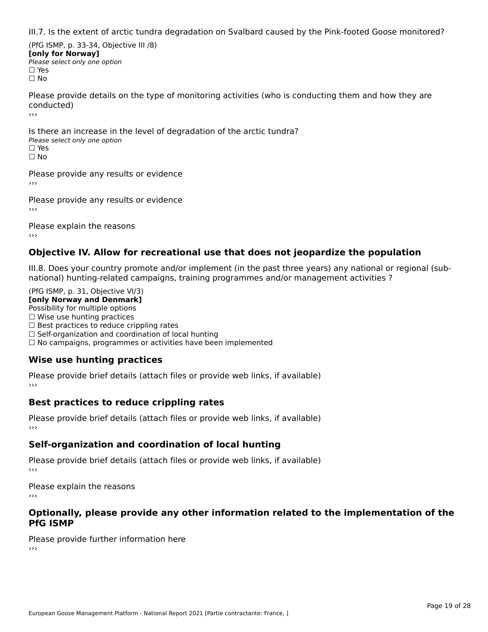III.7. Is the extent of arctic tundra degradation on Svalbard caused by the Pink-footed Goose monitored?

(PfG ISMP, p. 33-34, Objective III /8) **[only for Norway] Please select only one option** □ Yes<br>□ No

Please provide details on the type of monitoring activities (who is conducting them and how they are conducted)›››

Is there an increase in the level of degradation of the arctic tundra? □ CitCre dir increduce in c<br>Please select only one option □ Yes<br>□ No

Please provide any results or evidence

Please provide any results or evidence

Please explain the reasons›››

### **Objective IV. Allow for recreational use that does not jeopardize the population**

III.8. Does your country promote and/or implement (in the past three years) any national or regional (sub $m.6.198$  your country promove and/or miplement (in the past time years) any national or national) hunting-related campaigns, training programmes and/or management activities ?

(PfG ISMP, p. 31, Objective VI/3) **[only Norway and Denmark]** Possibility for multiple options ☐ Wise use hunting practices  $\Box$  wise use numing practices<br> $\Box$  Best practices to reduce crippling rates □ Best practices to reduce crippinig rates<br>□ Self-organization and coordination of local hunting □ Sen-organization and coordination or local nunting<br>□ No campaigns, programmes or activities have been implemented

# **Wise use hunting practices**

Please provide brief details (attach files or provide web links, if available) ›››

### **Best practices to reduce crippling rates**

Please provide brief details (attach files or provide web links, if available)

# **Self-organization and coordination of local hunting**

Please provide brief details (attach files or provide web links, if available)

Please explain the reasons›››

#### **Optionally, please provide any other information related to the implementation of the PfG ISMP**

Please provide further information here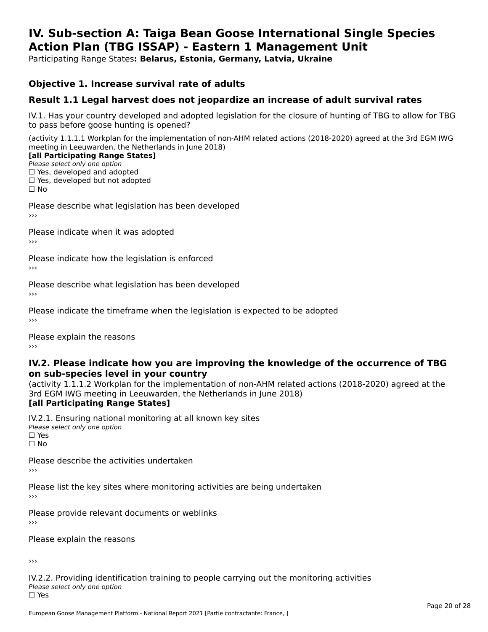#### **IV. Sub-section A: Taiga Bean Goose International Single Species Action Plan (TBG ISSAP) - Eastern 1 Management UnitAction Plan (TBG ISSAP) - Eastern 1 Management Unit**

Participating Range States**: Belarus, Estonia, Germany, Latvia, Ukraine** 

### **Objective 1. Increase survival rate of adults**

### **Result 1.1 Legal harvest does not jeopardize an increase of adult survival rates**

IV.1. Has your country developed and adopted legislation for the closure of hunting of TBG to allow for TBG IV.1. Thas your country developed and add<br>to pass before goose hunting is opened?

(activity 1.1.1.1 Workplan for the implementation of non-AHM related actions (2018-2020) agreed at the 3rd EGM IWG meeting in Leeuwarden, the Netherlands in June 2018)

#### [all Participating Range States]

Please select only one option ☐ Yes, developed and adopted

 ☐ Yes, developed but not adopted $\Box$  ies, developed but not adopted

Please describe what legislation has been developed

Please indicate when it was adopted

Please indicate how the legislation is enforced

Please describe what legislation has been developed

Please indicate the timeframe when the legislation is expected to be adopted

Please explain the reasons

#### **IV.2. Please indicate how you are improving the knowledge of the occurrence of TBG on sub-species level in your country**on sub-species level in your country

on sub-species fever in your country<br>(activity 1.1.1.2 Workplan for the implementation of non-AHM related actions (2018-2020) agreed at the **Brd EGM IWG meeting in Leeuwarden, the Netherlands in June 2018)** 

#### [all Participating Range States]

IV.2.1. Ensuring national monitoring at all known key sites <del>■ Western Chroning</del> Hational<br>Please select only one option □ Yes<br>□ No

Please describe the activities undertaken

Please list the key sites where monitoring activities are being undertaken

Please provide relevant documents or weblinks

Please explain the reasons

›››

IV.2.2. Providing identification training to people carrying out the monitoring activities Please select only one option<br>□ Yes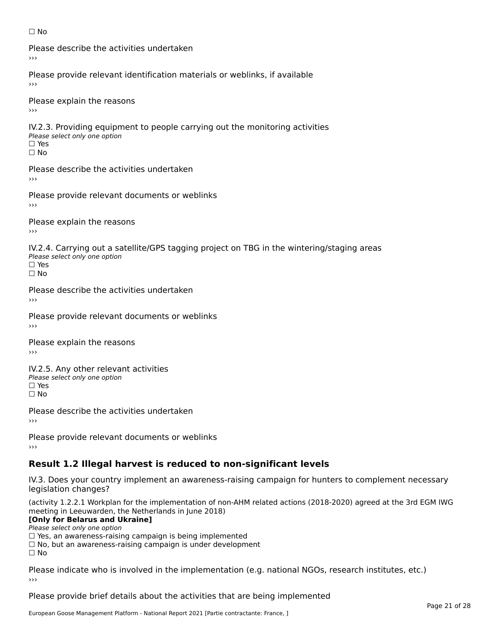#### ☐ No

Please describe the activities undertaken›››

Please provide relevant identification materials or weblinks, if available

Please explain the reasons

IV.2.3. Providing equipment to people carrying out the monitoring activities Please select only one option ☐ Yes□ Yes<br>□ No

Please describe the activities undertaken›››

Please provide relevant documents or weblinks

Please explain the reasons ›››

IV.2.4. Carrying out a satellite/GPS tagging project on TBG in the wintering/staging areas <del>∩</del><br>Please select only one option □ Yes<br>□ No

Please describe the activities undertaken›››

Please provide relevant documents or weblinks

Please explain the reasons

IV.2.5. Any other relevant activities Please select only one option ☐ Yes□ Yes<br>□ No

Please describe the activities undertaken›››

Please provide relevant documents or weblinks

# **Result 1.2 Illegal harvest is reduced to non-significant levels**

IV.3. Does your country implement an awareness-raising campaign for hunters to complement necessary rv.5. Does your court<br>legislation changes?

(activity 1.2.2.1 Workplan for the implementation of non-AHM related actions (2018-2020) agreed at the 3rd EGM IWG meeting in Leeuwarden, the Netherlands in June 2018)

#### **[Only for Belarus and Ukraine]**

**LOTTLY TOT Detailed and O**<br>Please select only one option

riease select only one option<br>□ Yes, an awareness-raising campaign is being implemented<br>□ Yes, an awareness-raising campaign is under development

□ No, but an awareness-raising campaign is under development<br>□ N。

 $\Box$  No

Please indicate who is involved in the implementation (e.g. national NGOs, research institutes, etc.)

Please provide brief details about the activities that are being implemented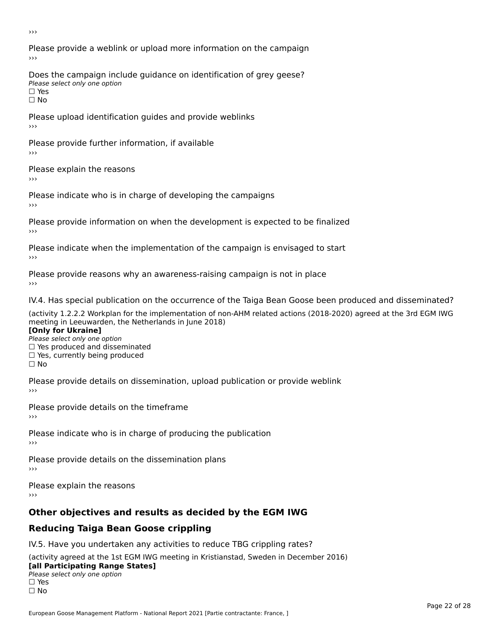›››

Please provide a weblink or upload more information on the campaign›››

Does the campaign include guidance on identification of grey geese? Please select only one option<br>□ Yes □ Yes<br>□ No

Please upload identification guides and provide weblinks ›››

Please provide further information, if available

Please explain the reasons

Please indicate who is in charge of developing the campaigns

Please provide information on when the development is expected to be finalized

Please indicate when the implementation of the campaign is envisaged to start

Please provide reasons why an awareness-raising campaign is not in place

IV.4. Has special publication on the occurrence of the Taiga Bean Goose been produced and disseminated?

(activity 1.2.2.2 Workplan for the implementation of non-AHM related actions (2018-2020) agreed at the 3rd EGM IWG **[Only for Ukraine]**

**□ Yes produced and disseminated**<br>Please select only one option  $\Box$  ies produced and disseminated  $\Box$  ies, currently being produced

Please provide details on dissemination, upload publication or provide weblink

Please provide details on the timeframe

Please indicate who is in charge of producing the publication

Please provide details on the dissemination plans

Please explain the reasons ›››

# **Other objectives and results as decided by the EGM IWG**

# **Reducing Taiga Bean Goose crippling**

IV.5. Have you undertaken any activities to reduce TBG crippling rates?

(activity agreed at the 1st EGM IWG meeting in Kristianstad, Sweden in December 2016) **[all Participating Range States]**[all Participating Range States]

### **Lan T articipating Range**<br>Please select only one option

□ Yes<br>□ No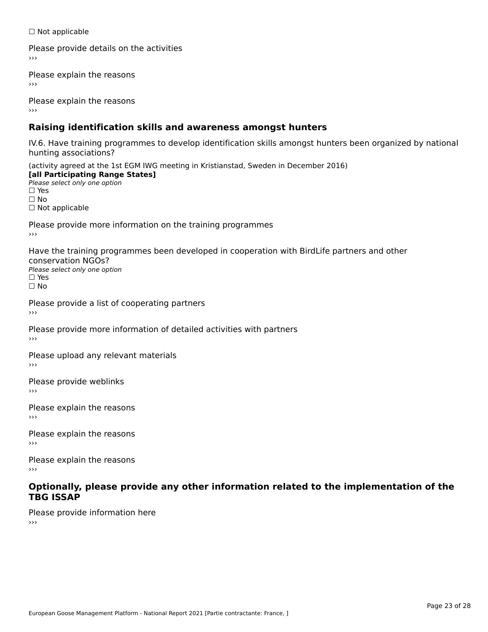☐ Not applicable

Please provide details on the activities

Please explain the reasons

Please explain the reasons

# **Raising identification skills and awareness amongst hunters**

IV.6. Have training programmes to develop identification skills amongst hunters been organized by national hunting associations?

(activity agreed at the 1st EGM IWG meeting in Kristianstad, Sweden in December 2016) **[all Participating Range States]**[all Participating Range States] **Lan Tarticipating Range**<br>Please select only one option ☐ Yes☐ No□ Not applicable

Please provide more information on the training programmes

Have the training programmes been developed in cooperation with BirdLife partners and other conservation NGOs?Please select only one option☐ Yes☐ No

Please provide a list of cooperating partners

Please provide more information of detailed activities with partners

Please upload any relevant materials

Please provide weblinks

Please explain the reasons

Please explain the reasons›››

Please explain the reasons›››

#### **Optionally, please provide any other information related to the implementation of the TBG ISSAP**

Please provide information here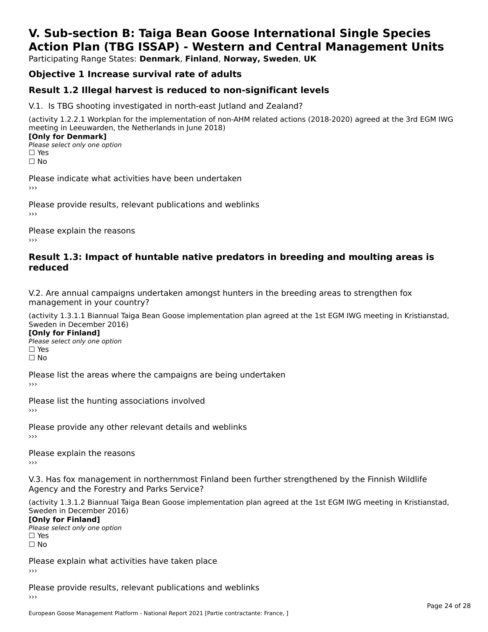# **V. Sub-section B: Taiga Bean Goose International Single SpeciesAction Plan (TBG ISSAP) - Western and Central Management Units**

Participating Range States: **Denmark**, **Finland**, **Norway, Sweden**, **UK**

# **Objective 1 Increase survival rate of adults**

### **Result 1.2 Illegal harvest is reduced to non-significant levels**

V.1. Is TBG shooting investigated in north-east Jutland and Zealand?

(activity 1.2.2.1 Workplan for the implementation of non-AHM related actions (2018-2020) agreed at the 3rd EGM IWG meeting in Leeuwarden, the Netherlands in June 2018) **[Only for Denmark]** 

**□ Please select only one option** □ Yes<br>□ No

Please indicate what activities have been undertaken›››

Please provide results, relevant publications and weblinks ›››

Please explain the reasons›››

#### **Result 1.3: Impact of huntable native predators in breeding and moulting areas is reduced**

V.2. Are annual campaigns undertaken amongst hunters in the breeding areas to strengthen fox v.z. Are annual campaigns und<br>management in your country?

(activity 1.3.1.1 Biannual Taiga Bean Goose implementation plan agreed at the 1st EGM IWG meeting in Kristianstad, Sweden in December 2016)

**[Only for Finland]** Please select only one optionriease<br>□ Yes □ Yes<br>□ No

Please list the areas where the campaigns are being undertaken

Please list the hunting associations involved

Please provide any other relevant details and weblinks ›››

Please explain the reasons

V.3. Has fox management in northernmost Finland been further strengthened by the Finnish Wildlife v.5. Has fox management in northernmost F<br>Agency and the Forestry and Parks Service?

(activity 1.3.1.2 Biannual Taiga Bean Goose implementation plan agreed at the 1st EGM IWG meeting in Kristianstad, Sweden in December 2016) Sweden in December 2016)

[Only for Finland]

**Please select only one option** □ Yes<br>□ No

Please explain what activities have taken place

Please provide results, relevant publications and weblinks ›››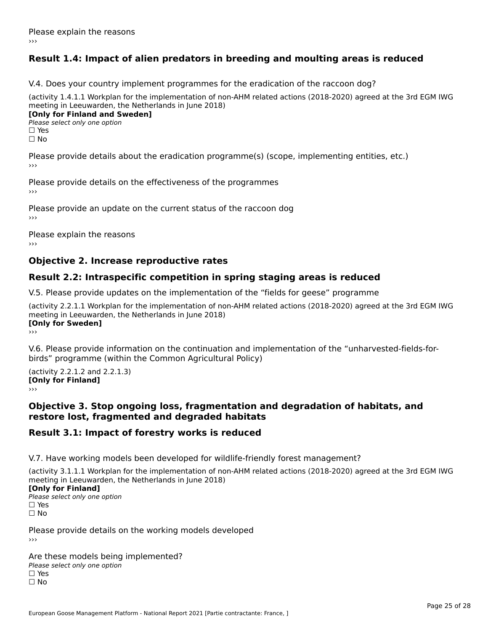# **Result 1.4: Impact of alien predators in breeding and moulting areas is reduced**

V.4. Does your country implement programmes for the eradication of the raccoon dog?

(activity 1.4.1.1 Workplan for the implementation of non-AHM related actions (2018-2020) agreed at the 3rd EGM IWG meeting in Leeuwarden, the Netherlands in June 2018) **[Only for Finland and Sweden]**

**Please select only one option** 

□ Yes<br>□ No

Please provide details about the eradication programme(s) (scope, implementing entities, etc.)

Please provide details on the effectiveness of the programmes

Please provide an update on the current status of the raccoon dog

Please explain the reasons

### **Objective 2. Increase reproductive rates**

### **Result 2.2: Intraspecific competition in spring staging areas is reduced**

V.5. Please provide updates on the implementation of the "fields for geese" programme

(activity 2.2.1.1 Workplan for the implementation of non-AHM related actions (2018-2020) agreed at the 3rd EGM IWG meeting in Leeuwarden, the Netherlands in June 2018) <u>Iony</u> ioi swedenj

V.6. Please provide information on the continuation and implementation of the "unharvested-fields-forbirds" programme (within the Common Agricultural Policy)birds" programme (within the Common Agricultural Policy)

(activity 2.2.1.2 and 2.2.1.3) **CONDUCTS**<br> **[Only for Finland]** 

#### **Objective 3. Stop ongoing loss, fragmentation and degradation of habitats, and restore lost, fragmented and degraded habitats**

### **Result 3.1: Impact of forestry works is reduced**

V.7. Have working models been developed for wildlife-friendly forest management?

(activity 3.1.1.1 Workplan for the implementation of non-AHM related actions (2018-2020) agreed at the 3rd EGM IWG

### **[Only for Finland]**

**Please select only one option** □ Yes<br>□ No

Please provide details on the working models developed›››

Are these models being implemented? ∩ne enese moders being<br>Please select only one option □ Yes<br>□ No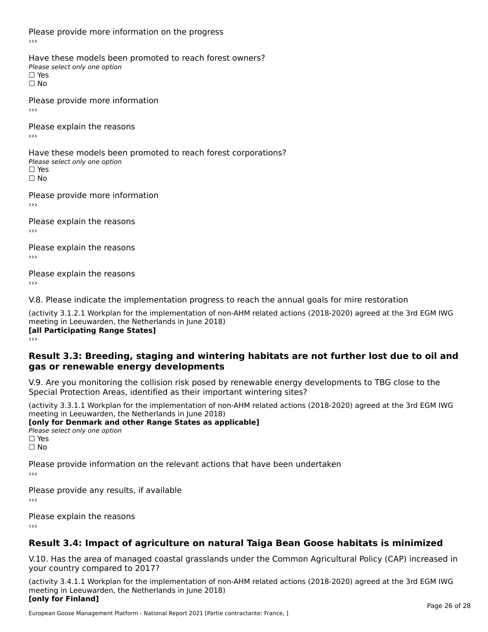Please provide more information on the progress

Have these models been promoted to reach forest owners? ∩ave these models bee<br>Please select only one option □ Yes<br>□ No

Please provide more information›››

Please explain the reasons ›››

Have these models been promoted to reach forest corporations? ∩ave these models bee<br>Please select only one option □ Yes<br>□ No

Please provide more information›››

Please explain the reasons ›››

Please explain the reasons›››

Please explain the reasons›››

V.8. Please indicate the implementation progress to reach the annual goals for mire restoration

(activity 3.1.2.1 Workplan for the implementation of non-AHM related actions (2018-2020) agreed at the 3rd EGM IWG meeting in Leeuwarden, the Netherlands in June 2018) **[all Participating Range States]** ›››

**Result 3.3: Breeding, staging and wintering habitats are not further lost due to oil andgas or renewable energy developments**

#### gas or renewable energy developments

V.9. Are you monitoring the collision risk posed by renewable energy developments to TBG close to the Special Protection Areas, identified as their important wintering sites?

(activity 3.3.1.1 Workplan for the implementation of non-AHM related actions (2018-2020) agreed at the 3rd EGM IWG **[only for Denmark and other Range States as applicable]**

**Please select only one option** □ Yes<br>□ No

Please provide information on the relevant actions that have been undertaken ›››

Please provide any results, if available

Please explain the reasons

# **Result 3.4: Impact of agriculture on natural Taiga Bean Goose habitats is minimized**

V.10. Has the area of managed coastal grasslands under the Common Agricultural Policy (CAP) increased in

(activity 3.4.1.1 Workplan for the implementation of non-AHM related actions (2018-2020) agreed at the 3rd EGM IWG meeting in Leeuwarden, the Netherlands in June 2018) **[only for Finland]**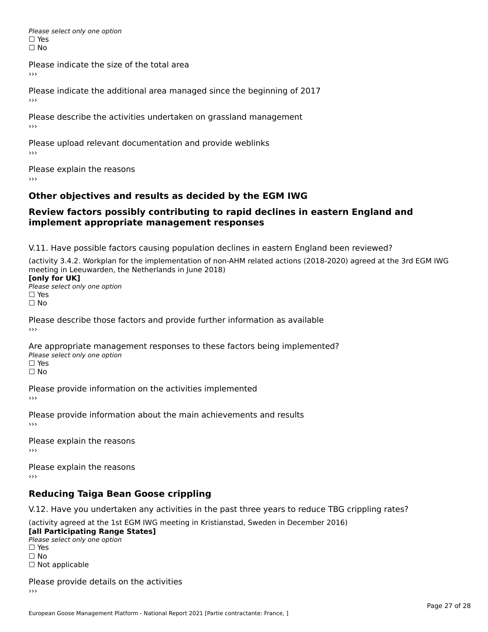Please select only one option □ Yes<br>□ No

Please indicate the size of the total area

›››

Please indicate the additional area managed since the beginning of 2017

Please describe the activities undertaken on grassland management ›››

Please upload relevant documentation and provide weblinks

Please explain the reasons

# **Other objectives and results as decided by the EGM IWG**

#### **Review factors possibly contributing to rapid declines in eastern England andimplement appropriate management responses**implement appropriate management responses

V.11. Have possible factors causing population declines in eastern England been reviewed?

(activity 3.4.2. Workplan for the implementation of non-AHM related actions (2018-2020) agreed at the 3rd EGM IWGmeeting in Leeuwarden, the Netherlands in June 2018) meeting in Leeuwarden, the Netherlands in June 2018)<br>**[only for UK]** 

**∐omy for OR**<br>Please select only one option □ Yes<br>□ No

Please describe those factors and provide further information as available

Are appropriate management responses to these factors being implemented? ric appropriace manage<br>Please select only one option ☐ Yesים<br>⊡ No

Please provide information on the activities implemented ›››

Please provide information about the main achievements and results›››

Please explain the reasons›››

Please explain the reasons ›››

# **Reducing Taiga Bean Goose crippling**

V.12. Have you undertaken any activities in the past three years to reduce TBG crippling rates?

(activity agreed at the 1st EGM IWG meeting in Kristianstad, Sweden in December 2016) **[all Participating Range States]**

[all Participating Range States] Please select only one option☐ Yesים<br>⊡ No □ Not applicable

Please provide details on the activities  $\rightarrow$   $>$